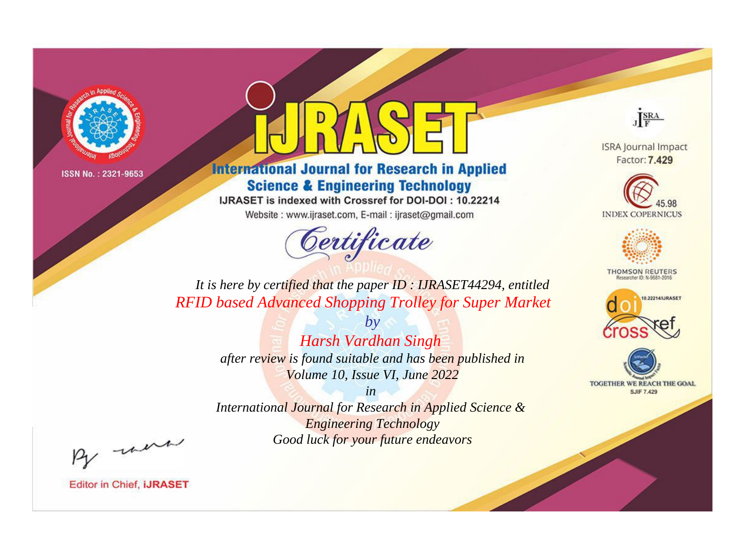

# **International Journal for Research in Applied Science & Engineering Technology**

IJRASET is indexed with Crossref for DOI-DOI: 10.22214

Website: www.ijraset.com, E-mail: ijraset@gmail.com



JERA

**ISRA Journal Impact** Factor: 7.429





**THOMSON REUTERS** 



TOGETHER WE REACH THE GOAL **SJIF 7.429** 

It is here by certified that the paper ID: IJRASET44294, entitled **RFID based Advanced Shopping Trolley for Super Market** 

> $b\nu$ Harsh Vardhan Singh after review is found suitable and has been published in Volume 10, Issue VI, June 2022

 $in$ International Journal for Research in Applied Science & **Engineering Technology** Good luck for your future endeavors

By morn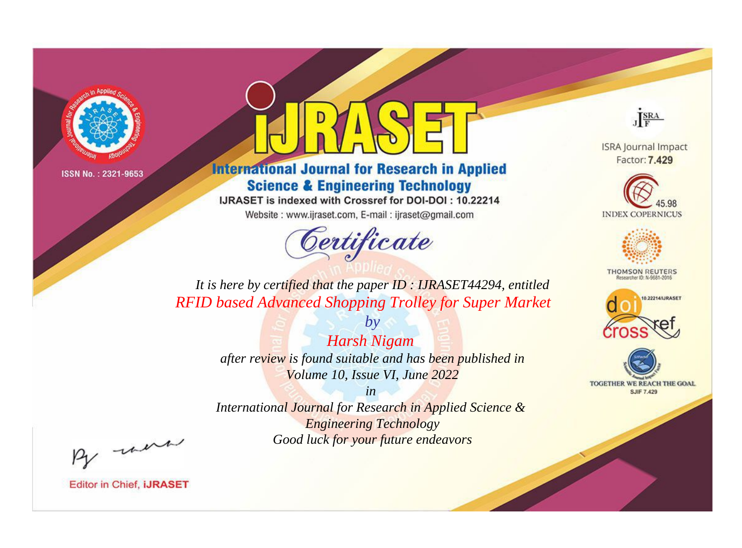

# **International Journal for Research in Applied Science & Engineering Technology**

IJRASET is indexed with Crossref for DOI-DOI: 10.22214

Website: www.ijraset.com, E-mail: ijraset@gmail.com



JERA

**ISRA Journal Impact** Factor: 7.429





**THOMSON REUTERS** 



TOGETHER WE REACH THE GOAL **SJIF 7.429** 

*It is here by certified that the paper ID : IJRASET44294, entitled RFID based Advanced Shopping Trolley for Super Market*

> *by Harsh Nigam after review is found suitable and has been published in Volume 10, Issue VI, June 2022*

> > *in*

*International Journal for Research in Applied Science & Engineering Technology Good luck for your future endeavors*

By morn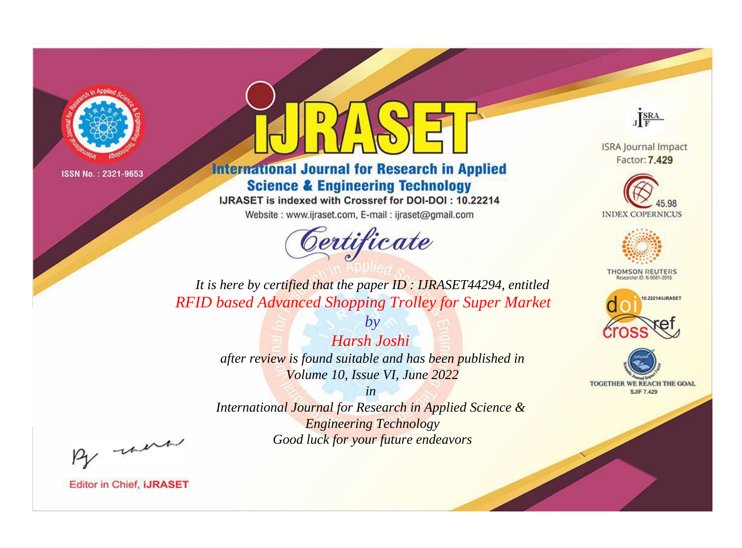

# **International Journal for Research in Applied Science & Engineering Technology**

IJRASET is indexed with Crossref for DOI-DOI: 10.22214

Website: www.ijraset.com, E-mail: ijraset@gmail.com



JERA

**ISRA Journal Impact** Factor: 7.429





**THOMSON REUTERS** 



TOGETHER WE REACH THE GOAL **SJIF 7.429** 

*It is here by certified that the paper ID : IJRASET44294, entitled RFID based Advanced Shopping Trolley for Super Market*

> *Harsh Joshi after review is found suitable and has been published in Volume 10, Issue VI, June 2022*

*by*

*in International Journal for Research in Applied Science &* 

*Engineering Technology Good luck for your future endeavors*

By morn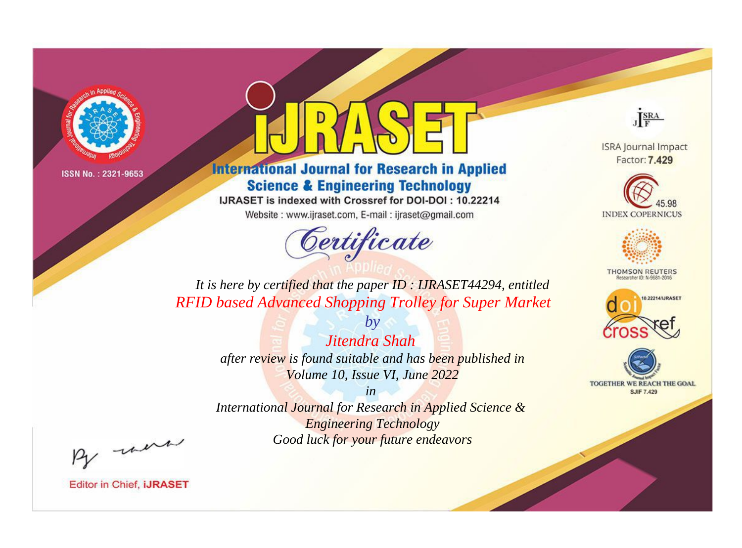

# **International Journal for Research in Applied Science & Engineering Technology**

IJRASET is indexed with Crossref for DOI-DOI: 10.22214

Website: www.ijraset.com, E-mail: ijraset@gmail.com



JERA

**ISRA Journal Impact** Factor: 7.429





**THOMSON REUTERS** 



TOGETHER WE REACH THE GOAL **SJIF 7.429** 

*It is here by certified that the paper ID : IJRASET44294, entitled RFID based Advanced Shopping Trolley for Super Market*

> *by Jitendra Shah after review is found suitable and has been published in Volume 10, Issue VI, June 2022*

> > *in*

*International Journal for Research in Applied Science & Engineering Technology Good luck for your future endeavors*

By morn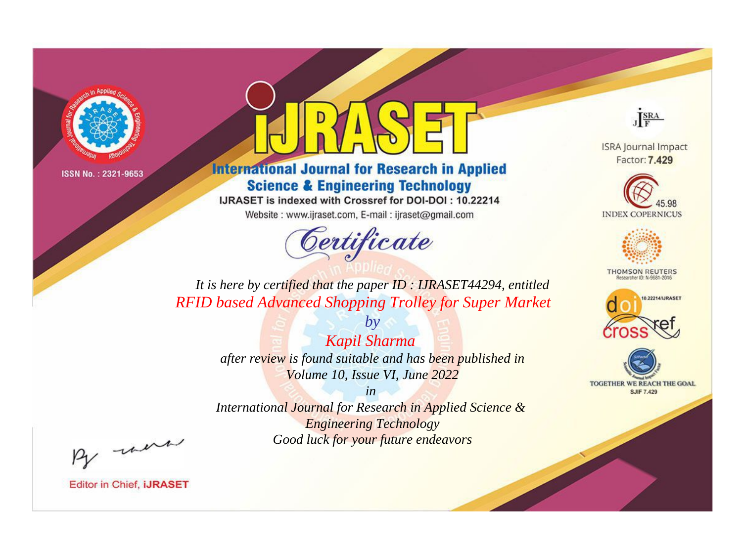

# **International Journal for Research in Applied Science & Engineering Technology**

IJRASET is indexed with Crossref for DOI-DOI: 10.22214

Website: www.ijraset.com, E-mail: ijraset@gmail.com



JERA

**ISRA Journal Impact** Factor: 7.429





**THOMSON REUTERS** 



TOGETHER WE REACH THE GOAL **SJIF 7.429** 

*It is here by certified that the paper ID : IJRASET44294, entitled RFID based Advanced Shopping Trolley for Super Market*

> *by Kapil Sharma after review is found suitable and has been published in Volume 10, Issue VI, June 2022*

> > *in*

*International Journal for Research in Applied Science & Engineering Technology Good luck for your future endeavors*

By morn